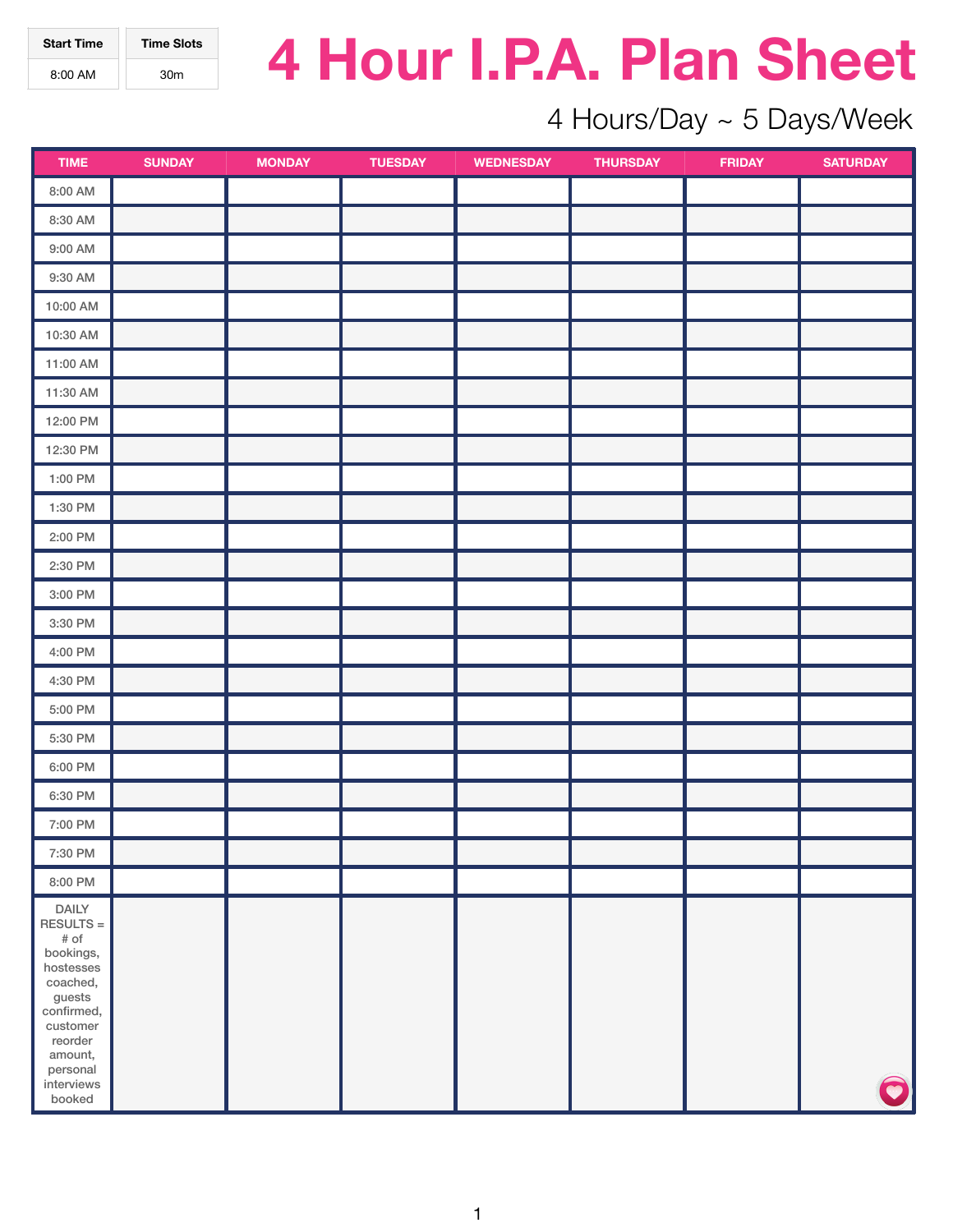## **4 Hour I.P.A. Plan Sheet**

## 4 Hours/Day ~ 5 Days/Week

| <b>TIME</b>                                                                                                                                                             | <b>SUNDAY</b> | <b>MONDAY</b> | <b>TUESDAY</b> | <b>WEDNESDAY</b> | <b>THURSDAY</b> | <b>FRIDAY</b> | <b>SATURDAY</b> |
|-------------------------------------------------------------------------------------------------------------------------------------------------------------------------|---------------|---------------|----------------|------------------|-----------------|---------------|-----------------|
| 8:00 AM                                                                                                                                                                 |               |               |                |                  |                 |               |                 |
| 8:30 AM                                                                                                                                                                 |               |               |                |                  |                 |               |                 |
| 9:00 AM                                                                                                                                                                 |               |               |                |                  |                 |               |                 |
| $9:30$ AM                                                                                                                                                               |               |               |                |                  |                 |               |                 |
| 10:00 AM                                                                                                                                                                |               |               |                |                  |                 |               |                 |
| 10:30 AM                                                                                                                                                                |               |               |                |                  |                 |               |                 |
| 11:00 AM                                                                                                                                                                |               |               |                |                  |                 |               |                 |
| 11:30 AM                                                                                                                                                                |               |               |                |                  |                 |               |                 |
| 12:00 PM                                                                                                                                                                |               |               |                |                  |                 |               |                 |
| 12:30 PM                                                                                                                                                                |               |               |                |                  |                 |               |                 |
| $1:00$ PM                                                                                                                                                               |               |               |                |                  |                 |               |                 |
| 1:30 PM                                                                                                                                                                 |               |               |                |                  |                 |               |                 |
| $2:00$ PM $\,$                                                                                                                                                          |               |               |                |                  |                 |               |                 |
| 2:30 PM                                                                                                                                                                 |               |               |                |                  |                 |               |                 |
| $3:00$ PM $\,$                                                                                                                                                          |               |               |                |                  |                 |               |                 |
| $3:30$ PM $\,$                                                                                                                                                          |               |               |                |                  |                 |               |                 |
| 4:00 PM                                                                                                                                                                 |               |               |                |                  |                 |               |                 |
| 4:30 PM                                                                                                                                                                 |               |               |                |                  |                 |               |                 |
| $5:00$ PM                                                                                                                                                               |               |               |                |                  |                 |               |                 |
| 5:30 PM                                                                                                                                                                 |               |               |                |                  |                 |               |                 |
| 6:00 PM                                                                                                                                                                 |               |               |                |                  |                 |               |                 |
| 6:30 PM                                                                                                                                                                 |               |               |                |                  |                 |               |                 |
| 7:00 PM                                                                                                                                                                 |               |               |                |                  |                 |               |                 |
| 7:30 PM                                                                                                                                                                 |               |               |                |                  |                 |               |                 |
| 8:00 PM                                                                                                                                                                 |               |               |                |                  |                 |               |                 |
| <b>DAILY</b><br>RESULTS =<br>$\#$ of<br>bookings,<br>hostesses<br>coached,<br>guess<br>confirmed,<br>customer<br>reorder<br>amount,<br>personal<br>interviews<br>booked |               |               |                |                  |                 |               | 0               |